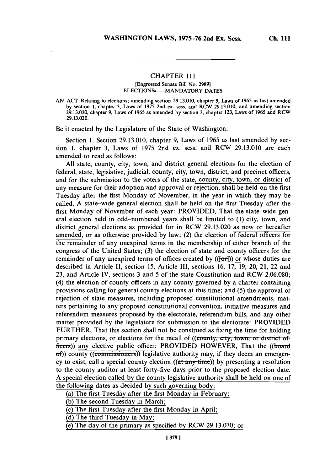## CHAPTER I111

## [Engrossed Senate Bill No. **29801 ELECTIONS---- MANDATORY DATES**

Be it enacted **by** the Legislature of the State of Washington:

Section **1.** Section **29.13.010,** chapter **9,** Laws of *1965* as last amended **by** section **1,** chapter **3,** Laws of **1975** 2nd ex. sess. and RCW **29.13.010** are each amended to read as follows:

**All** state, county, city, town, and district general elections for the election of federal, state, legislative, judicial, county, city, town, district, and precinct officers, and for the submission to the voters of the state, county, city, town, or district of any measure for their adoption and approval or rejection, shall be held on the first Tuesday after the first Monday of November, in the year in which they may be called. **A** state-wide general election shall be held on the first Tuesday after the first Monday of November of each year: PROVIDED, That the state-wide general election held in odd-numbered years shall be limited to **(1)** city, town, and district general elections as provided for in RCW **29.13.020** as now or hereafter amended, or as otherwise provided **by** law; (2) the election of federal officers for the remainder of any unexpired terms in the membership of either branch of the congress of the United States; **(3)** the election of state and county officers for the remainder of any unexpired terms of offices created **by ((foi))** or whose duties are described in Article II, section **15,** Article III, sections **16, 17, 19,** 20, 21, 22 and **23,** and Article IV, sections **3** and **5** of the state Constitution and RCW **2.06.080;** (4) the election of county officers in any county governed **by** a charter containing provisions calling for general county elections at this time; and **(5)** the approval or rejection of state measures, including proposed constitutional amendments, matters pertaining to any proposed constitutional convention, initiative measures and referendum measures proposed **by** the electorate, referendum bills, and any other matter provided **by** the legislature for submission to the electorate: PROVIDED FURTHER, That this section shall not be construed as fixing the time for holding primary elections, or elections for the recall of ((county, city, town, or district officers)) any elective public officer: PROVIDED HOWEVER, That the ((board of)) county ((commissioners)) legislative authority may, if they deem an emergency to exist, call a special county election ((at-any-time)) **by** presenting a resolution to the county auditor at least forty-five days prior to the proposed election date. **A** special election called **by** the county legislative authority shall be held on one of the following dates as decided **by** such governing body:

**AN ACT** Relating to elections; amending section **29.13.010,** chapter **9,** Laws of **1965** as last amended **by** section **1,** chapte.; **3,** Laws of **1975** 2nd ex. sess. and RCW **29.13.010;** and amending section **29.13.020,** chapter **9,** Laws of **1965** as amended **by** section **3,** chapter **123,** Laws of *1965* and **RCW 29.13.020.**

<sup>(</sup>a) The first Tuesday after the first Monday in February;

**<sup>(</sup>b)** The second Tuesday in March;

<sup>(</sup>c) The first Tuesday after the first Monday in April;

**<sup>(</sup>d)** The third Tuesday in May;

<sup>(</sup>e) The day of the primary as specified **by** RCW **29.13.070;** or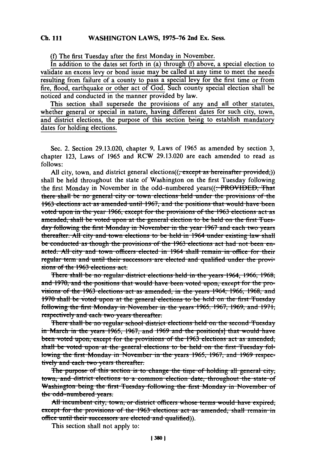## **Ch. 111 WASHINGTON** LAWS, **1975-76** 2nd Ex. Sess.

**(0)** The first Tuesday after the first Monday in November.

In addition to the dates set forth in (a) through **(f)** above, a special election to validate an excess levy or bond issue may be called at any time to meet the needs resulting from failure of a county to pass a special levy for the first time or from fire, flood, earthquake or other act of God. Such county special election shall be noticed and conducted in the manner provided **by** law.

This section shall supersede the provisions of any and all other statutes, whether general or special in nature, having different dates for such city, town, and district elections, the purpose of this section being to establish mandatory dates for holding elections.

Sec. 2. Section **29.13.020,** chapter **9,** Laws of **1965** as amended **by** section **3,** chapter **123,** Laws of *1965* and RCW **29.13.020** are each amended to read as **follows:**

All city, town, and district general elections $((\text{,-except as hereinafter provided}))$ shall be held throughout the state of Washington on the first Tuesday following the first Monday in November in the odd-numbered years((:-PROVIDED, That there shall be no general city or town elections held under the provisions of the 1963 elections act as amended until 1967, and the positions that would have been **voted upon in the year 1966, except for the provisions of the 1963 elections act as** amended, shall be voted upon at the general election to be held on the first Tuesday following the first Monday in November in the year 1967 and each two years thereafter. All city and town elections to be held in 1964 under existing law shall be conducted as though the provisions of the 1963 elections act had not been enacted. All city and town officers elected in 1964 shall remain in office for their regular term and until their successors are elected and qualified under the provisions of the 1963 elections act.

Fhere shall be no regular district elections held in the years 1964, 1966, 1968; and 1970, and the positions that would have been voted upon, except for the provisions of the 1963 elections act as amended, in the years 1964, 1966, 1968, and 1970 shall be voted upon at the general elections to be held on the first Tuesday following the first Monday in November in the years 1965, 1967, 1969, and 1971, respectively and each two years thereafter.

There shall be no regular school district elections held on the second Tuesday in March in the years 1965, 1967, and 1969 and the position(s) that would have been voted upon, except for the provisions of the 1963 elections act as amended, shall be voted upon at the general elections to be held on the first Tuesday following the first Monday in November in the years 1965, 1967, and 1969 respectively and each two years thereafter.

The purpose of this section is to change the time of holding all general city, town, and district elections to a common election date, throughout the state of Washington being the first Tuesday following the first Monday in November of the odd-numbered years.

All incumbent city, town, or district officers whose terms would have expired, except for the provisions of the 1963 elections act as amended, shall remain in office until their successors are elected and qualified)).

This section shall not apply to: